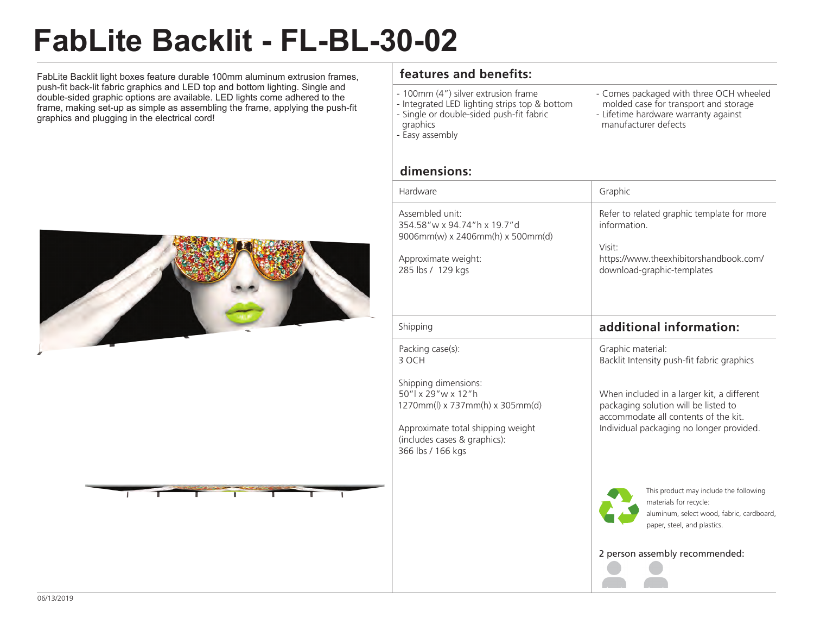## **FabLite Backlit - FL-BL-30-02**

FabLite Backlit light boxes feature durable 100mm aluminum extrusion frames, push-fit back-lit fabric graphics and LED top and bottom lighting. Single and double-sided graphic options are available. LED lights come adhered to the frame, making set-up as simple as assembling the frame, applying the push-fit graphics and plugging in the electrical cord!





## **features and benefits:**

- 100mm (4") silver extrusion frame
- Integrated LED lighting strips top & bottom
- Single or double-sided push-fit fabric
- graphics
- Easy assembly
- Comes packaged with three OCH wheeled molded case for transport and storage
- Lifetime hardware warranty against
- manufacturer defects

## **dimensions:**

| Hardware                                                                                                                                                                   | Graphic                                                                                                                                                                |
|----------------------------------------------------------------------------------------------------------------------------------------------------------------------------|------------------------------------------------------------------------------------------------------------------------------------------------------------------------|
| Assembled unit:<br>354.58"w x 94.74"h x 19.7"d<br>9006mm(w) x 2406mm(h) x 500mm(d)<br>Approximate weight:<br>285 lbs / 129 kgs                                             | Refer to related graphic template for more<br>information.<br>Visit:<br>https://www.theexhibitorshandbook.com/<br>download-graphic-templates                           |
| Shipping                                                                                                                                                                   | additional information:                                                                                                                                                |
| Packing case(s):<br>3 OCH                                                                                                                                                  | Graphic material:<br>Backlit Intensity push-fit fabric graphics                                                                                                        |
| Shipping dimensions:<br>50"   x 29" w x 12" h<br>1270mm(l) x 737mm(h) x 305mm(d)<br>Approximate total shipping weight<br>(includes cases & graphics):<br>366 lbs / 166 kgs | When included in a larger kit, a different<br>packaging solution will be listed to<br>accommodate all contents of the kit.<br>Individual packaging no longer provided. |
|                                                                                                                                                                            | This product may include the following<br>materials for recycle:<br>aluminum, select wood, fabric, cardboard,<br>paper, steel, and plastics.                           |
|                                                                                                                                                                            | 2 person assembly recommended:                                                                                                                                         |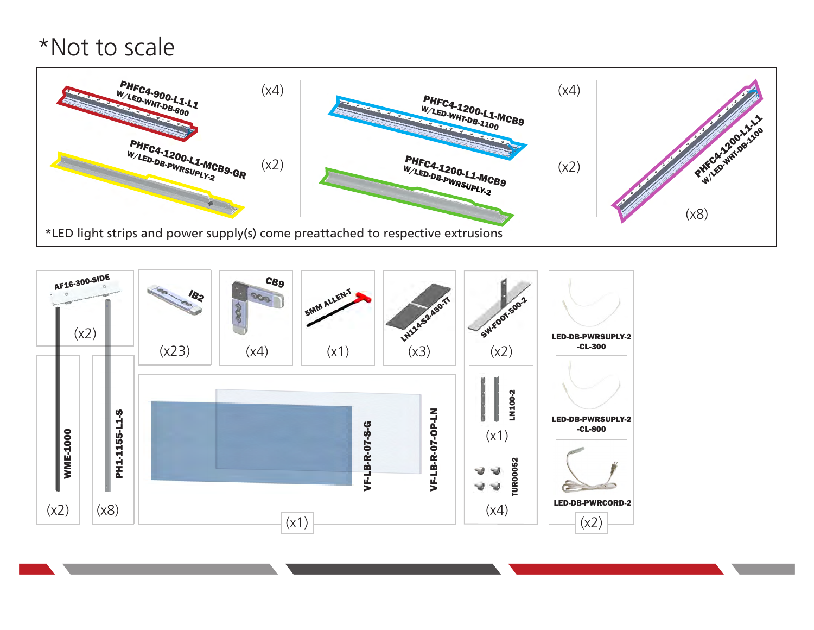## \*Not to scale



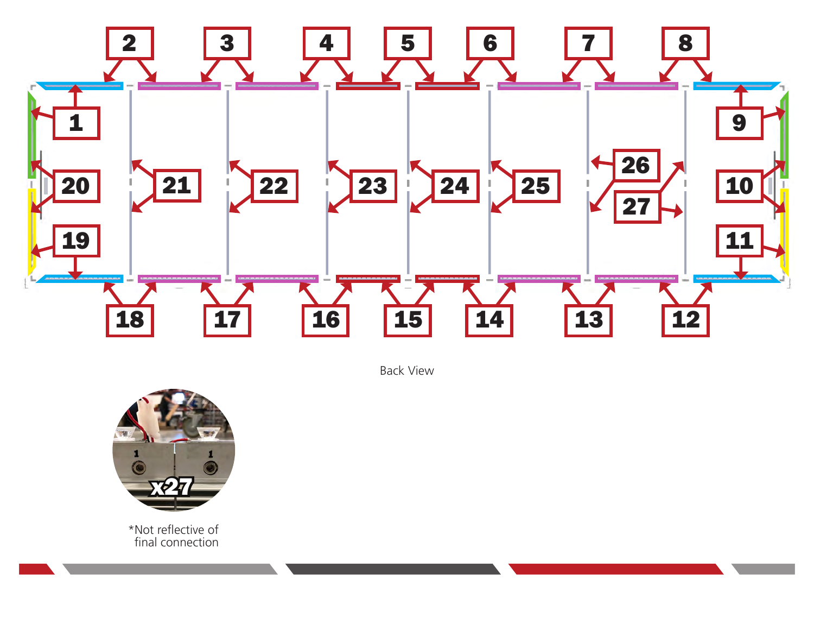

Back View



\*Not reflective of final connection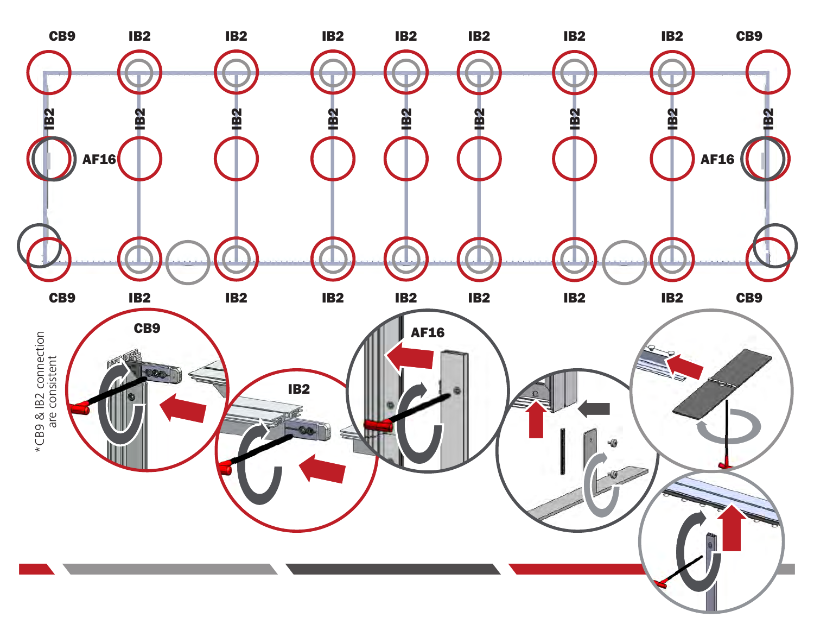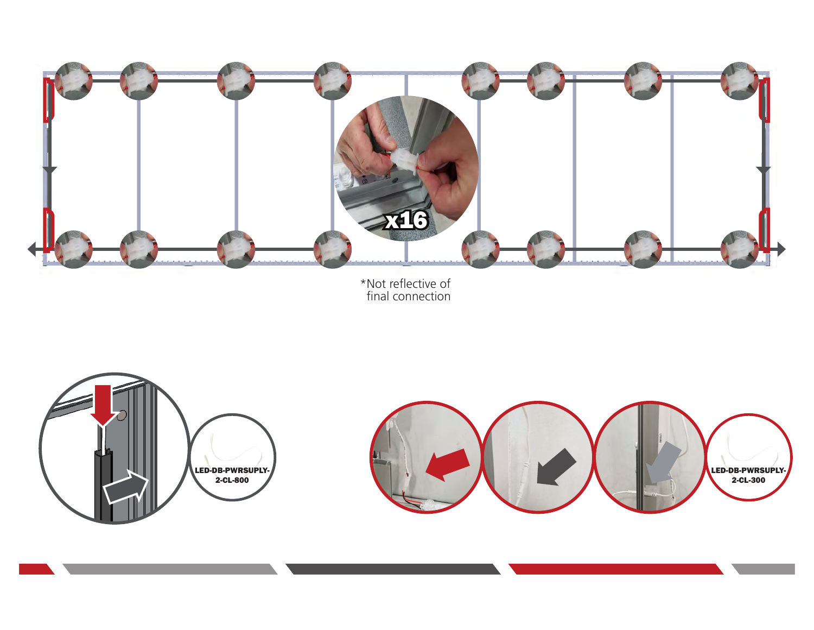

\*Not reflective of final connection